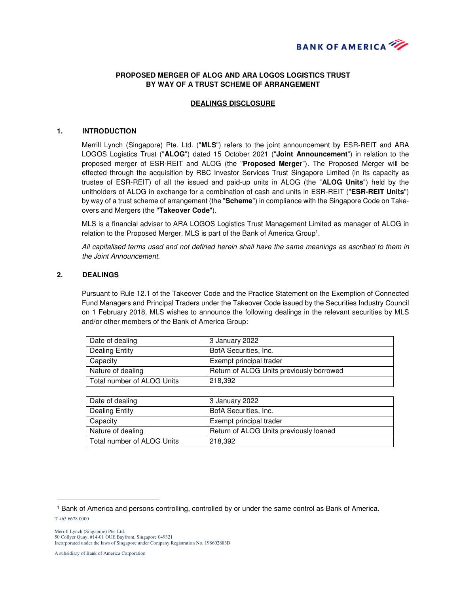

# **PROPOSED MERGER OF ALOG AND ARA LOGOS LOGISTICS TRUST BY WAY OF A TRUST SCHEME OF ARRANGEMENT**

## **DEALINGS DISCLOSURE**

#### **1. INTRODUCTION**

Merrill Lynch (Singapore) Pte. Ltd. ("**MLS**") refers to the joint announcement by ESR-REIT and ARA LOGOS Logistics Trust ("**ALOG**") dated 15 October 2021 ("**Joint Announcement**") in relation to the proposed merger of ESR-REIT and ALOG (the "**Proposed Merger**"). The Proposed Merger will be effected through the acquisition by RBC Investor Services Trust Singapore Limited (in its capacity as trustee of ESR-REIT) of all the issued and paid-up units in ALOG (the "**ALOG Units**") held by the unitholders of ALOG in exchange for a combination of cash and units in ESR-REIT ("**ESR-REIT Units**") by way of a trust scheme of arrangement (the "**Scheme**") in compliance with the Singapore Code on Takeovers and Mergers (the "**Takeover Code**").

MLS is a financial adviser to ARA LOGOS Logistics Trust Management Limited as manager of ALOG in relation to the Proposed Merger. MLS is part of the Bank of America Group<sup>1</sup>.

All capitalised terms used and not defined herein shall have the same meanings as ascribed to them in the Joint Announcement.

## **2. DEALINGS**

Pursuant to Rule 12.1 of the Takeover Code and the Practice Statement on the Exemption of Connected Fund Managers and Principal Traders under the Takeover Code issued by the Securities Industry Council on 1 February 2018, MLS wishes to announce the following dealings in the relevant securities by MLS and/or other members of the Bank of America Group:

| Date of dealing            | 3 January 2022                           |
|----------------------------|------------------------------------------|
| Dealing Entity             | BofA Securities, Inc.                    |
| Capacity                   | Exempt principal trader                  |
| Nature of dealing          | Return of ALOG Units previously borrowed |
| Total number of ALOG Units | 218.392                                  |

| Date of dealing            | 3 January 2022                         |
|----------------------------|----------------------------------------|
| Dealing Entity             | BofA Securities, Inc.                  |
| Capacity                   | Exempt principal trader                |
| Nature of dealing          | Return of ALOG Units previously loaned |
| Total number of ALOG Units | 218.392                                |

 $\overline{a}$ 

<sup>1</sup> Bank of America and persons controlling, controlled by or under the same control as Bank of America.

T +65 6678 0000